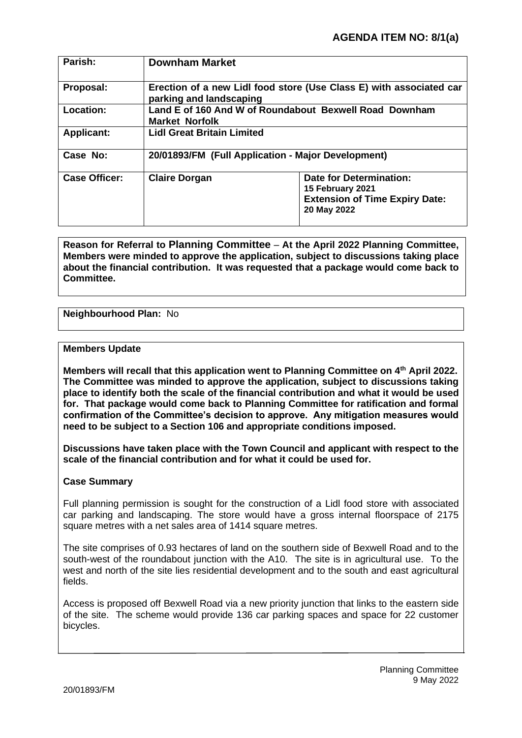| Parish:              | <b>Downham Market</b>                                                                          |                                                                                                     |
|----------------------|------------------------------------------------------------------------------------------------|-----------------------------------------------------------------------------------------------------|
| Proposal:            | Erection of a new Lidl food store (Use Class E) with associated car<br>parking and landscaping |                                                                                                     |
| Location:            | Land E of 160 And W of Roundabout Bexwell Road Downham<br><b>Market Norfolk</b>                |                                                                                                     |
| <b>Applicant:</b>    | <b>Lidl Great Britain Limited</b>                                                              |                                                                                                     |
| Case No:             | 20/01893/FM (Full Application - Major Development)                                             |                                                                                                     |
| <b>Case Officer:</b> | <b>Claire Dorgan</b>                                                                           | Date for Determination:<br>15 February 2021<br><b>Extension of Time Expiry Date:</b><br>20 May 2022 |

**Reason for Referral to Planning Committee** – **At the April 2022 Planning Committee, Members were minded to approve the application, subject to discussions taking place about the financial contribution. It was requested that a package would come back to Committee.**

# **Neighbourhood Plan:** No

### **Members Update**

**Members will recall that this application went to Planning Committee on 4th April 2022. The Committee was minded to approve the application, subject to discussions taking place to identify both the scale of the financial contribution and what it would be used for. That package would come back to Planning Committee for ratification and formal confirmation of the Committee's decision to approve. Any mitigation measures would need to be subject to a Section 106 and appropriate conditions imposed.**

**Discussions have taken place with the Town Council and applicant with respect to the scale of the financial contribution and for what it could be used for.**

## **Case Summary**

Full planning permission is sought for the construction of a Lidl food store with associated car parking and landscaping. The store would have a gross internal floorspace of 2175 square metres with a net sales area of 1414 square metres.

The site comprises of 0.93 hectares of land on the southern side of Bexwell Road and to the south-west of the roundabout junction with the A10. The site is in agricultural use. To the west and north of the site lies residential development and to the south and east agricultural fields.

Access is proposed off Bexwell Road via a new priority junction that links to the eastern side of the site. The scheme would provide 136 car parking spaces and space for 22 customer bicycles.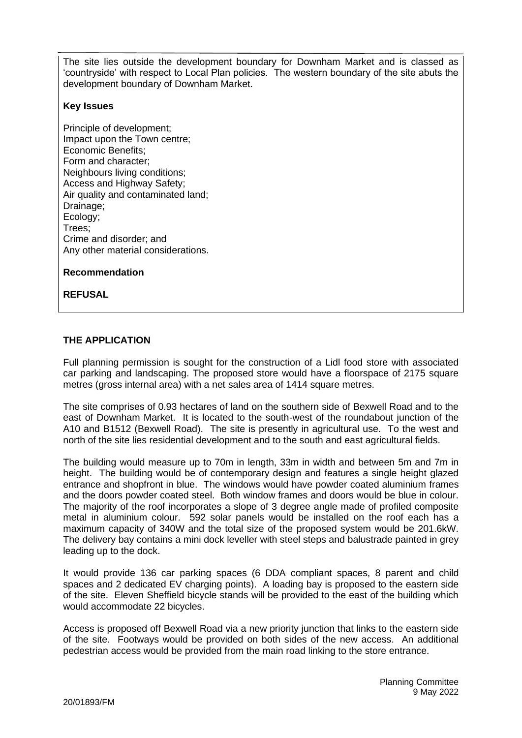The site lies outside the development boundary for Downham Market and is classed as 'countryside' with respect to Local Plan policies. The western boundary of the site abuts the development boundary of Downham Market.

### **Key Issues**

Principle of development; Impact upon the Town centre; Economic Benefits; Form and character; Neighbours living conditions; Access and Highway Safety; Air quality and contaminated land; Drainage; Ecology; Trees; Crime and disorder; and Any other material considerations.

**Recommendation**

**REFUSAL**

# **THE APPLICATION**

Full planning permission is sought for the construction of a Lidl food store with associated car parking and landscaping. The proposed store would have a floorspace of 2175 square metres (gross internal area) with a net sales area of 1414 square metres.

The site comprises of 0.93 hectares of land on the southern side of Bexwell Road and to the east of Downham Market. It is located to the south-west of the roundabout junction of the A10 and B1512 (Bexwell Road). The site is presently in agricultural use. To the west and north of the site lies residential development and to the south and east agricultural fields.

The building would measure up to 70m in length, 33m in width and between 5m and 7m in height. The building would be of contemporary design and features a single height glazed entrance and shopfront in blue. The windows would have powder coated aluminium frames and the doors powder coated steel. Both window frames and doors would be blue in colour. The majority of the roof incorporates a slope of 3 degree angle made of profiled composite metal in aluminium colour. 592 solar panels would be installed on the roof each has a maximum capacity of 340W and the total size of the proposed system would be 201.6kW. The delivery bay contains a mini dock leveller with steel steps and balustrade painted in grey leading up to the dock.

It would provide 136 car parking spaces (6 DDA compliant spaces, 8 parent and child spaces and 2 dedicated EV charging points). A loading bay is proposed to the eastern side of the site. Eleven Sheffield bicycle stands will be provided to the east of the building which would accommodate 22 bicycles.

Access is proposed off Bexwell Road via a new priority junction that links to the eastern side of the site. Footways would be provided on both sides of the new access. An additional pedestrian access would be provided from the main road linking to the store entrance.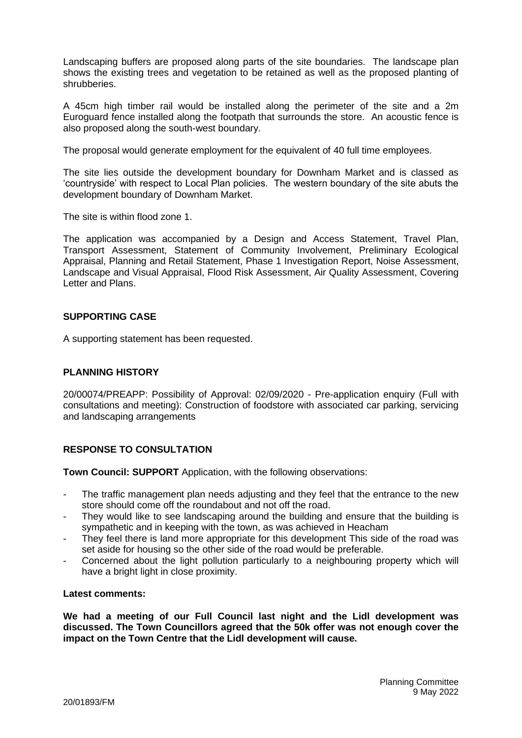Landscaping buffers are proposed along parts of the site boundaries. The landscape plan shows the existing trees and vegetation to be retained as well as the proposed planting of shrubberies.

A 45cm high timber rail would be installed along the perimeter of the site and a 2m Euroguard fence installed along the footpath that surrounds the store. An acoustic fence is also proposed along the south-west boundary.

The proposal would generate employment for the equivalent of 40 full time employees.

The site lies outside the development boundary for Downham Market and is classed as 'countryside' with respect to Local Plan policies. The western boundary of the site abuts the development boundary of Downham Market.

The site is within flood zone 1.

The application was accompanied by a Design and Access Statement, Travel Plan, Transport Assessment, Statement of Community Involvement, Preliminary Ecological Appraisal, Planning and Retail Statement, Phase 1 Investigation Report, Noise Assessment, Landscape and Visual Appraisal, Flood Risk Assessment, Air Quality Assessment, Covering Letter and Plans.

## **SUPPORTING CASE**

A supporting statement has been requested.

## **PLANNING HISTORY**

20/00074/PREAPP: Possibility of Approval: 02/09/2020 - Pre-application enquiry (Full with consultations and meeting): Construction of foodstore with associated car parking, servicing and landscaping arrangements

## **RESPONSE TO CONSULTATION**

**Town Council: SUPPORT** Application, with the following observations:

- The traffic management plan needs adjusting and they feel that the entrance to the new store should come off the roundabout and not off the road.
- They would like to see landscaping around the building and ensure that the building is sympathetic and in keeping with the town, as was achieved in Heacham
- They feel there is land more appropriate for this development This side of the road was set aside for housing so the other side of the road would be preferable.
- Concerned about the light pollution particularly to a neighbouring property which will have a bright light in close proximity.

#### **Latest comments:**

**We had a meeting of our Full Council last night and the Lidl development was discussed. The Town Councillors agreed that the 50k offer was not enough cover the impact on the Town Centre that the Lidl development will cause.**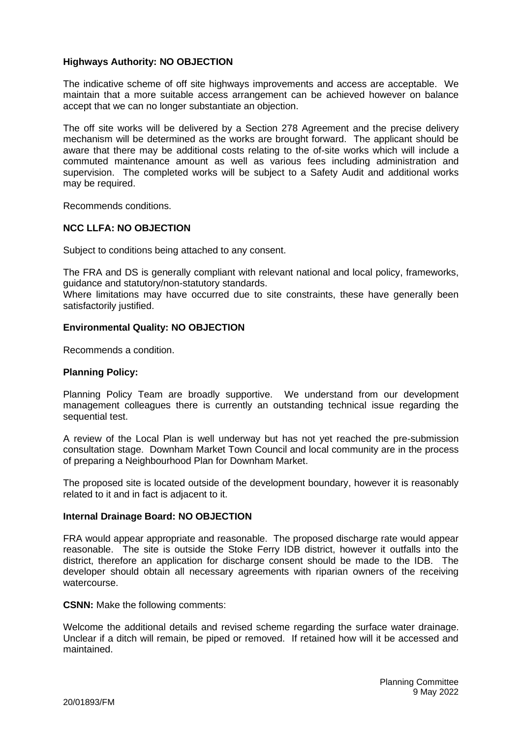### **Highways Authority: NO OBJECTION**

The indicative scheme of off site highways improvements and access are acceptable. We maintain that a more suitable access arrangement can be achieved however on balance accept that we can no longer substantiate an objection.

The off site works will be delivered by a Section 278 Agreement and the precise delivery mechanism will be determined as the works are brought forward. The applicant should be aware that there may be additional costs relating to the of-site works which will include a commuted maintenance amount as well as various fees including administration and supervision. The completed works will be subject to a Safety Audit and additional works may be required.

Recommends conditions.

## **NCC LLFA: NO OBJECTION**

Subject to conditions being attached to any consent.

The FRA and DS is generally compliant with relevant national and local policy, frameworks, guidance and statutory/non-statutory standards.

Where limitations may have occurred due to site constraints, these have generally been satisfactorily justified.

### **Environmental Quality: NO OBJECTION**

Recommends a condition.

### **Planning Policy:**

Planning Policy Team are broadly supportive. We understand from our development management colleagues there is currently an outstanding technical issue regarding the sequential test.

A review of the Local Plan is well underway but has not yet reached the pre-submission consultation stage. Downham Market Town Council and local community are in the process of preparing a Neighbourhood Plan for Downham Market.

The proposed site is located outside of the development boundary, however it is reasonably related to it and in fact is adjacent to it.

#### **Internal Drainage Board: NO OBJECTION**

FRA would appear appropriate and reasonable. The proposed discharge rate would appear reasonable. The site is outside the Stoke Ferry IDB district, however it outfalls into the district, therefore an application for discharge consent should be made to the IDB. The developer should obtain all necessary agreements with riparian owners of the receiving watercourse.

**CSNN:** Make the following comments:

Welcome the additional details and revised scheme regarding the surface water drainage. Unclear if a ditch will remain, be piped or removed. If retained how will it be accessed and maintained.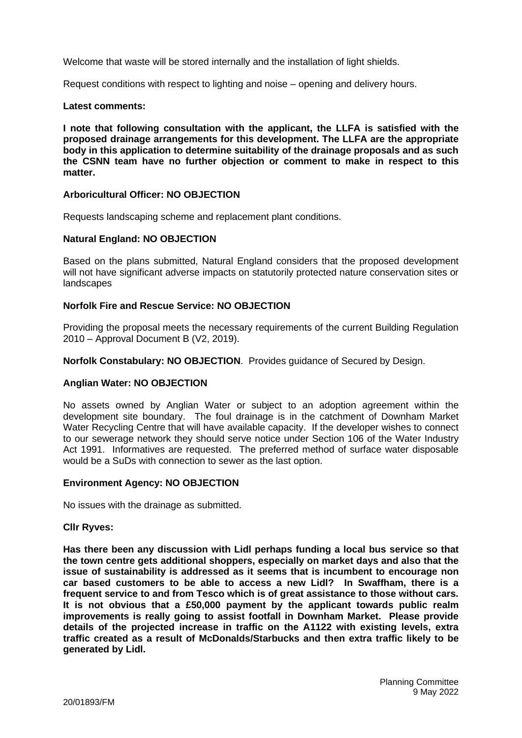Welcome that waste will be stored internally and the installation of light shields.

Request conditions with respect to lighting and noise – opening and delivery hours.

#### **Latest comments:**

**I note that following consultation with the applicant, the LLFA is satisfied with the proposed drainage arrangements for this development. The LLFA are the appropriate body in this application to determine suitability of the drainage proposals and as such the CSNN team have no further objection or comment to make in respect to this matter.**

### **Arboricultural Officer: NO OBJECTION**

Requests landscaping scheme and replacement plant conditions.

#### **Natural England: NO OBJECTION**

Based on the plans submitted, Natural England considers that the proposed development will not have significant adverse impacts on statutorily protected nature conservation sites or landscapes

### **Norfolk Fire and Rescue Service: NO OBJECTION**

Providing the proposal meets the necessary requirements of the current Building Regulation 2010 – Approval Document B (V2, 2019).

**Norfolk Constabulary: NO OBJECTION**. Provides guidance of Secured by Design.

## **Anglian Water: NO OBJECTION**

No assets owned by Anglian Water or subject to an adoption agreement within the development site boundary. The foul drainage is in the catchment of Downham Market Water Recycling Centre that will have available capacity. If the developer wishes to connect to our sewerage network they should serve notice under Section 106 of the Water Industry Act 1991. Informatives are requested. The preferred method of surface water disposable would be a SuDs with connection to sewer as the last option.

#### **Environment Agency: NO OBJECTION**

No issues with the drainage as submitted.

#### **Cllr Ryves:**

**Has there been any discussion with Lidl perhaps funding a local bus service so that the town centre gets additional shoppers, especially on market days and also that the issue of sustainability is addressed as it seems that is incumbent to encourage non car based customers to be able to access a new Lidl? In Swaffham, there is a frequent service to and from Tesco which is of great assistance to those without cars. It is not obvious that a £50,000 payment by the applicant towards public realm improvements is really going to assist footfall in Downham Market. Please provide details of the projected increase in traffic on the A1122 with existing levels, extra traffic created as a result of McDonalds/Starbucks and then extra traffic likely to be generated by Lidl.**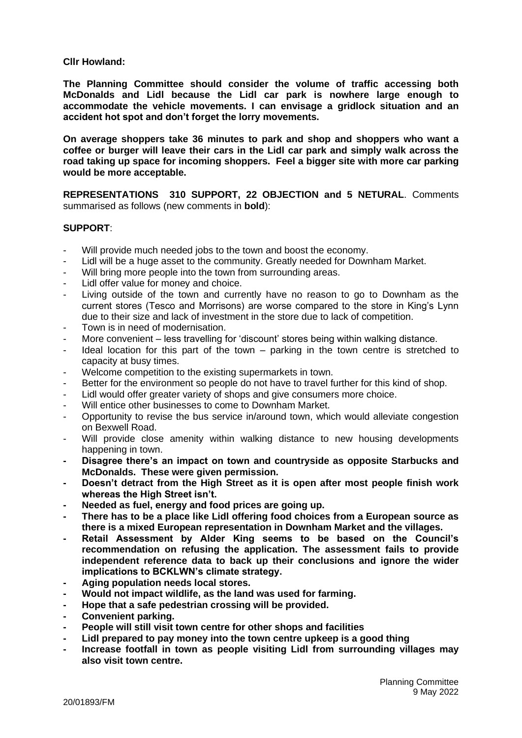### **Cllr Howland:**

**The Planning Committee should consider the volume of traffic accessing both McDonalds and Lidl because the Lidl car park is nowhere large enough to accommodate the vehicle movements. I can envisage a gridlock situation and an accident hot spot and don't forget the lorry movements.**

**On average shoppers take 36 minutes to park and shop and shoppers who want a coffee or burger will leave their cars in the Lidl car park and simply walk across the road taking up space for incoming shoppers. Feel a bigger site with more car parking would be more acceptable.**

**REPRESENTATIONS 310 SUPPORT, 22 OBJECTION and 5 NETURAL**. Comments summarised as follows (new comments in **bold**):

## **SUPPORT**:

- Will provide much needed jobs to the town and boost the economy.
- Lidl will be a huge asset to the community. Greatly needed for Downham Market.
- Will bring more people into the town from surrounding areas.
- Lidl offer value for money and choice.
- Living outside of the town and currently have no reason to go to Downham as the current stores (Tesco and Morrisons) are worse compared to the store in King's Lynn due to their size and lack of investment in the store due to lack of competition.
- Town is in need of modernisation.
- More convenient less travelling for 'discount' stores being within walking distance.
- Ideal location for this part of the town  $-$  parking in the town centre is stretched to capacity at busy times.
- Welcome competition to the existing supermarkets in town.
- Better for the environment so people do not have to travel further for this kind of shop.
- Lidl would offer greater variety of shops and give consumers more choice.
- Will entice other businesses to come to Downham Market.
- Opportunity to revise the bus service in/around town, which would alleviate congestion on Bexwell Road.
- Will provide close amenity within walking distance to new housing developments happening in town.
- **- Disagree there's an impact on town and countryside as opposite Starbucks and McDonalds. These were given permission.**
- **- Doesn't detract from the High Street as it is open after most people finish work whereas the High Street isn't.**
- **- Needed as fuel, energy and food prices are going up.**
- **- There has to be a place like Lidl offering food choices from a European source as there is a mixed European representation in Downham Market and the villages.**
- **- Retail Assessment by Alder King seems to be based on the Council's recommendation on refusing the application. The assessment fails to provide independent reference data to back up their conclusions and ignore the wider implications to BCKLWN's climate strategy.**
- **- Aging population needs local stores.**
- **- Would not impact wildlife, as the land was used for farming.**
- **- Hope that a safe pedestrian crossing will be provided.**
- **- Convenient parking.**
- **- People will still visit town centre for other shops and facilities**
- **- Lidl prepared to pay money into the town centre upkeep is a good thing**
- **- Increase footfall in town as people visiting Lidl from surrounding villages may also visit town centre.**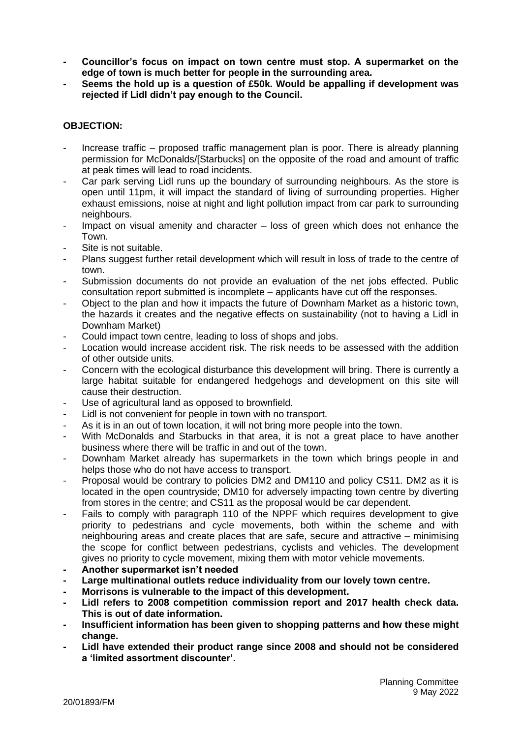- **- Councillor's focus on impact on town centre must stop. A supermarket on the edge of town is much better for people in the surrounding area.**
- **- Seems the hold up is a question of £50k. Would be appalling if development was rejected if Lidl didn't pay enough to the Council.**

## **OBJECTION:**

- Increase traffic proposed traffic management plan is poor. There is already planning permission for McDonalds/[Starbucks] on the opposite of the road and amount of traffic at peak times will lead to road incidents.
- Car park serving Lidl runs up the boundary of surrounding neighbours. As the store is open until 11pm, it will impact the standard of living of surrounding properties. Higher exhaust emissions, noise at night and light pollution impact from car park to surrounding neighbours.
- Impact on visual amenity and character  $-$  loss of green which does not enhance the Town.
- Site is not suitable.
- Plans suggest further retail development which will result in loss of trade to the centre of town.
- Submission documents do not provide an evaluation of the net jobs effected. Public consultation report submitted is incomplete – applicants have cut off the responses.
- Object to the plan and how it impacts the future of Downham Market as a historic town, the hazards it creates and the negative effects on sustainability (not to having a Lidl in Downham Market)
- Could impact town centre, leading to loss of shops and jobs.
- Location would increase accident risk. The risk needs to be assessed with the addition of other outside units.
- Concern with the ecological disturbance this development will bring. There is currently a large habitat suitable for endangered hedgehogs and development on this site will cause their destruction.
- Use of agricultural land as opposed to brownfield.
- Lidl is not convenient for people in town with no transport.
- As it is in an out of town location, it will not bring more people into the town.
- With McDonalds and Starbucks in that area, it is not a great place to have another business where there will be traffic in and out of the town.
- Downham Market already has supermarkets in the town which brings people in and helps those who do not have access to transport.
- Proposal would be contrary to policies DM2 and DM110 and policy CS11. DM2 as it is located in the open countryside; DM10 for adversely impacting town centre by diverting from stores in the centre; and CS11 as the proposal would be car dependent.
- Fails to comply with paragraph 110 of the NPPF which requires development to give priority to pedestrians and cycle movements, both within the scheme and with neighbouring areas and create places that are safe, secure and attractive – minimising the scope for conflict between pedestrians, cyclists and vehicles. The development gives no priority to cycle movement, mixing them with motor vehicle movements.
- **- Another supermarket isn't needed**
- **- Large multinational outlets reduce individuality from our lovely town centre.**
- **- Morrisons is vulnerable to the impact of this development.**
- **- Lidl refers to 2008 competition commission report and 2017 health check data. This is out of date information.**
- **- Insufficient information has been given to shopping patterns and how these might change.**
- **- Lidl have extended their product range since 2008 and should not be considered a 'limited assortment discounter'.**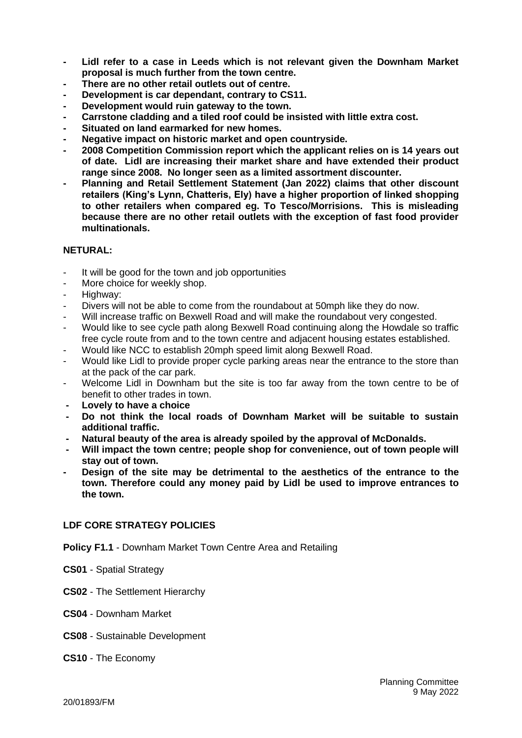- **- Lidl refer to a case in Leeds which is not relevant given the Downham Market proposal is much further from the town centre.**
- **- There are no other retail outlets out of centre.**
- **- Development is car dependant, contrary to CS11.**
- **- Development would ruin gateway to the town.**
- **- Carrstone cladding and a tiled roof could be insisted with little extra cost.**
- **- Situated on land earmarked for new homes.**
- **- Negative impact on historic market and open countryside.**
- **- 2008 Competition Commission report which the applicant relies on is 14 years out of date. Lidl are increasing their market share and have extended their product range since 2008. No longer seen as a limited assortment discounter.**
- **- Planning and Retail Settlement Statement (Jan 2022) claims that other discount retailers (King's Lynn, Chatteris, Ely) have a higher proportion of linked shopping to other retailers when compared eg. To Tesco/Morrisions. This is misleading because there are no other retail outlets with the exception of fast food provider multinationals.**

### **NETURAL:**

- It will be good for the town and job opportunities
- More choice for weekly shop.
- Highway:
- Divers will not be able to come from the roundabout at 50mph like they do now.
- Will increase traffic on Bexwell Road and will make the roundabout very congested.
- Would like to see cycle path along Bexwell Road continuing along the Howdale so traffic free cycle route from and to the town centre and adjacent housing estates established.
- Would like NCC to establish 20mph speed limit along Bexwell Road.
- Would like Lidl to provide proper cycle parking areas near the entrance to the store than at the pack of the car park.
- Welcome Lidl in Downham but the site is too far away from the town centre to be of benefit to other trades in town.
- **- Lovely to have a choice**
- **- Do not think the local roads of Downham Market will be suitable to sustain additional traffic.**
- **- Natural beauty of the area is already spoiled by the approval of McDonalds.**
- **- Will impact the town centre; people shop for convenience, out of town people will stay out of town.**
- **- Design of the site may be detrimental to the aesthetics of the entrance to the town. Therefore could any money paid by Lidl be used to improve entrances to the town.**

## **LDF CORE STRATEGY POLICIES**

- **Policy F1.1** Downham Market Town Centre Area and Retailing
- **CS01** Spatial Strategy
- **CS02** The Settlement Hierarchy
- **CS04**  Downham Market
- **CS08** Sustainable Development

#### **CS10** - The Economy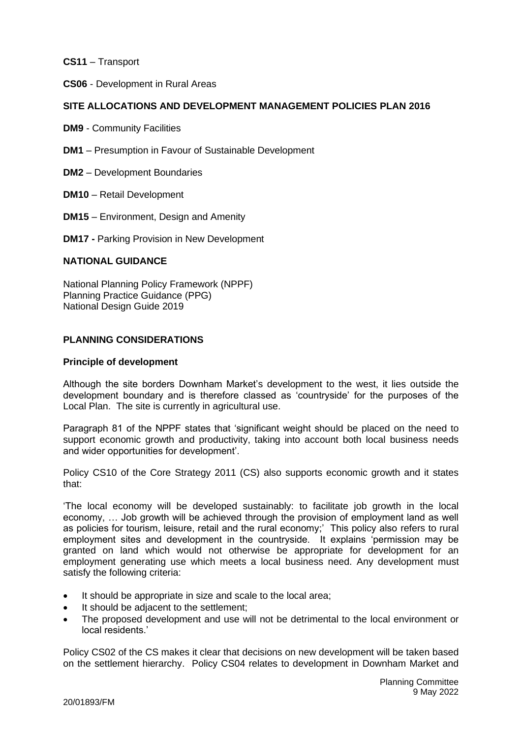**CS11** – Transport

**CS06** - Development in Rural Areas

## **SITE ALLOCATIONS AND DEVELOPMENT MANAGEMENT POLICIES PLAN 2016**

**DM9** - Community Facilities

- **DM1** Presumption in Favour of Sustainable Development
- **DM2** Development Boundaries
- **DM10** Retail Development
- **DM15**  Environment, Design and Amenity
- **DM17 -** Parking Provision in New Development

#### **NATIONAL GUIDANCE**

National Planning Policy Framework (NPPF) Planning Practice Guidance (PPG) National Design Guide 2019

### **PLANNING CONSIDERATIONS**

#### **Principle of development**

Although the site borders Downham Market's development to the west, it lies outside the development boundary and is therefore classed as 'countryside' for the purposes of the Local Plan. The site is currently in agricultural use.

Paragraph 81 of the NPPF states that 'significant weight should be placed on the need to support economic growth and productivity, taking into account both local business needs and wider opportunities for development'.

Policy CS10 of the Core Strategy 2011 (CS) also supports economic growth and it states that:

'The local economy will be developed sustainably: to facilitate job growth in the local economy, … Job growth will be achieved through the provision of employment land as well as policies for tourism, leisure, retail and the rural economy;' This policy also refers to rural employment sites and development in the countryside. It explains 'permission may be granted on land which would not otherwise be appropriate for development for an employment generating use which meets a local business need. Any development must satisfy the following criteria:

- It should be appropriate in size and scale to the local area:
- It should be adjacent to the settlement;
- The proposed development and use will not be detrimental to the local environment or local residents.'

Policy CS02 of the CS makes it clear that decisions on new development will be taken based on the settlement hierarchy. Policy CS04 relates to development in Downham Market and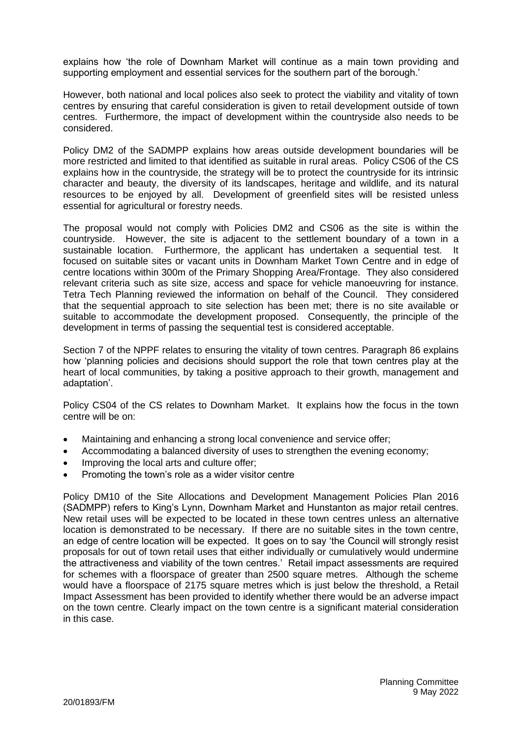explains how 'the role of Downham Market will continue as a main town providing and supporting employment and essential services for the southern part of the borough.'

However, both national and local polices also seek to protect the viability and vitality of town centres by ensuring that careful consideration is given to retail development outside of town centres. Furthermore, the impact of development within the countryside also needs to be considered.

Policy DM2 of the SADMPP explains how areas outside development boundaries will be more restricted and limited to that identified as suitable in rural areas. Policy CS06 of the CS explains how in the countryside, the strategy will be to protect the countryside for its intrinsic character and beauty, the diversity of its landscapes, heritage and wildlife, and its natural resources to be enjoyed by all. Development of greenfield sites will be resisted unless essential for agricultural or forestry needs.

The proposal would not comply with Policies DM2 and CS06 as the site is within the countryside. However, the site is adjacent to the settlement boundary of a town in a sustainable location. Furthermore, the applicant has undertaken a sequential test. It focused on suitable sites or vacant units in Downham Market Town Centre and in edge of centre locations within 300m of the Primary Shopping Area/Frontage. They also considered relevant criteria such as site size, access and space for vehicle manoeuvring for instance. Tetra Tech Planning reviewed the information on behalf of the Council. They considered that the sequential approach to site selection has been met; there is no site available or suitable to accommodate the development proposed. Consequently, the principle of the development in terms of passing the sequential test is considered acceptable.

Section 7 of the NPPF relates to ensuring the vitality of town centres. Paragraph 86 explains how 'planning policies and decisions should support the role that town centres play at the heart of local communities, by taking a positive approach to their growth, management and adaptation'.

Policy CS04 of the CS relates to Downham Market. It explains how the focus in the town centre will be on:

- Maintaining and enhancing a strong local convenience and service offer;
- Accommodating a balanced diversity of uses to strengthen the evening economy;
- Improving the local arts and culture offer:
- Promoting the town's role as a wider visitor centre

Policy DM10 of the Site Allocations and Development Management Policies Plan 2016 (SADMPP) refers to King's Lynn, Downham Market and Hunstanton as major retail centres. New retail uses will be expected to be located in these town centres unless an alternative location is demonstrated to be necessary. If there are no suitable sites in the town centre, an edge of centre location will be expected. It goes on to say 'the Council will strongly resist proposals for out of town retail uses that either individually or cumulatively would undermine the attractiveness and viability of the town centres.' Retail impact assessments are required for schemes with a floorspace of greater than 2500 square metres. Although the scheme would have a floorspace of 2175 square metres which is just below the threshold, a Retail Impact Assessment has been provided to identify whether there would be an adverse impact on the town centre. Clearly impact on the town centre is a significant material consideration in this case.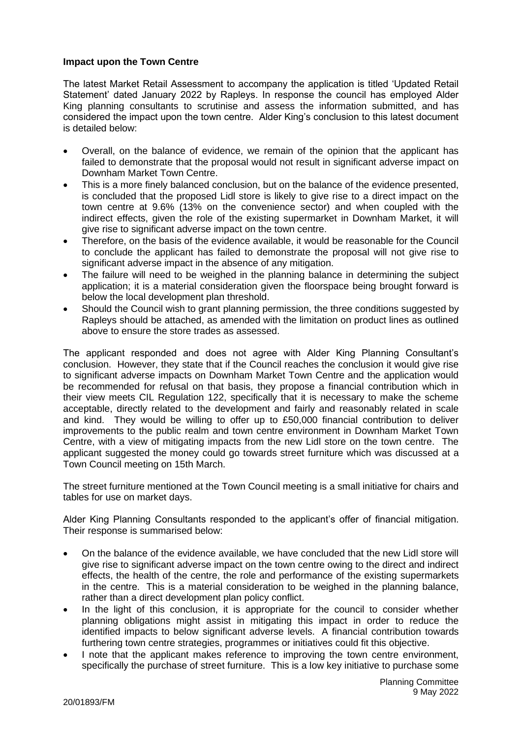### **Impact upon the Town Centre**

The latest Market Retail Assessment to accompany the application is titled 'Updated Retail Statement' dated January 2022 by Rapleys. In response the council has employed Alder King planning consultants to scrutinise and assess the information submitted, and has considered the impact upon the town centre. Alder King's conclusion to this latest document is detailed below:

- Overall, on the balance of evidence, we remain of the opinion that the applicant has failed to demonstrate that the proposal would not result in significant adverse impact on Downham Market Town Centre.
- This is a more finely balanced conclusion, but on the balance of the evidence presented, is concluded that the proposed Lidl store is likely to give rise to a direct impact on the town centre at 9.6% (13% on the convenience sector) and when coupled with the indirect effects, given the role of the existing supermarket in Downham Market, it will give rise to significant adverse impact on the town centre.
- Therefore, on the basis of the evidence available, it would be reasonable for the Council to conclude the applicant has failed to demonstrate the proposal will not give rise to significant adverse impact in the absence of any mitigation.
- The failure will need to be weighed in the planning balance in determining the subject application; it is a material consideration given the floorspace being brought forward is below the local development plan threshold.
- Should the Council wish to grant planning permission, the three conditions suggested by Rapleys should be attached, as amended with the limitation on product lines as outlined above to ensure the store trades as assessed.

The applicant responded and does not agree with Alder King Planning Consultant's conclusion. However, they state that if the Council reaches the conclusion it would give rise to significant adverse impacts on Downham Market Town Centre and the application would be recommended for refusal on that basis, they propose a financial contribution which in their view meets CIL Regulation 122, specifically that it is necessary to make the scheme acceptable, directly related to the development and fairly and reasonably related in scale and kind. They would be willing to offer up to £50,000 financial contribution to deliver improvements to the public realm and town centre environment in Downham Market Town Centre, with a view of mitigating impacts from the new Lidl store on the town centre. The applicant suggested the money could go towards street furniture which was discussed at a Town Council meeting on 15th March.

The street furniture mentioned at the Town Council meeting is a small initiative for chairs and tables for use on market days.

Alder King Planning Consultants responded to the applicant's offer of financial mitigation. Their response is summarised below:

- On the balance of the evidence available, we have concluded that the new Lidl store will give rise to significant adverse impact on the town centre owing to the direct and indirect effects, the health of the centre, the role and performance of the existing supermarkets in the centre. This is a material consideration to be weighed in the planning balance, rather than a direct development plan policy conflict.
- In the light of this conclusion, it is appropriate for the council to consider whether planning obligations might assist in mitigating this impact in order to reduce the identified impacts to below significant adverse levels. A financial contribution towards furthering town centre strategies, programmes or initiatives could fit this objective.
- I note that the applicant makes reference to improving the town centre environment, specifically the purchase of street furniture. This is a low key initiative to purchase some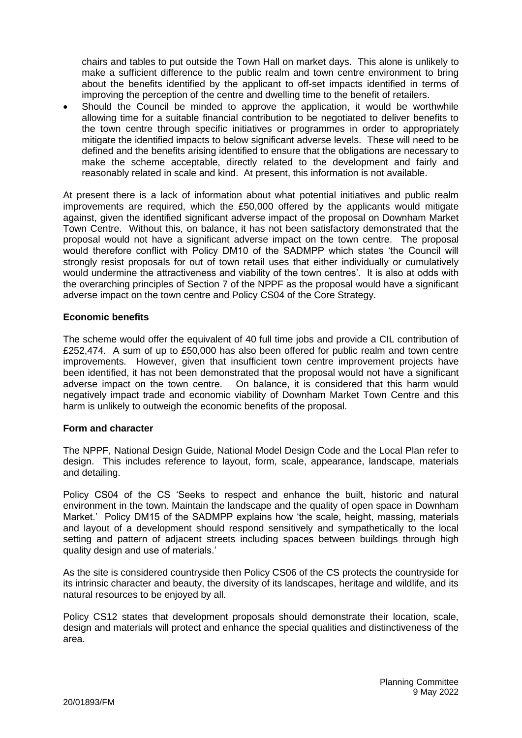chairs and tables to put outside the Town Hall on market days. This alone is unlikely to make a sufficient difference to the public realm and town centre environment to bring about the benefits identified by the applicant to off-set impacts identified in terms of improving the perception of the centre and dwelling time to the benefit of retailers.

Should the Council be minded to approve the application, it would be worthwhile allowing time for a suitable financial contribution to be negotiated to deliver benefits to the town centre through specific initiatives or programmes in order to appropriately mitigate the identified impacts to below significant adverse levels. These will need to be defined and the benefits arising identified to ensure that the obligations are necessary to make the scheme acceptable, directly related to the development and fairly and reasonably related in scale and kind. At present, this information is not available.

At present there is a lack of information about what potential initiatives and public realm improvements are required, which the £50,000 offered by the applicants would mitigate against, given the identified significant adverse impact of the proposal on Downham Market Town Centre. Without this, on balance, it has not been satisfactory demonstrated that the proposal would not have a significant adverse impact on the town centre. The proposal would therefore conflict with Policy DM10 of the SADMPP which states 'the Council will strongly resist proposals for out of town retail uses that either individually or cumulatively would undermine the attractiveness and viability of the town centres'. It is also at odds with the overarching principles of Section 7 of the NPPF as the proposal would have a significant adverse impact on the town centre and Policy CS04 of the Core Strategy.

### **Economic benefits**

The scheme would offer the equivalent of 40 full time jobs and provide a CIL contribution of £252,474. A sum of up to £50,000 has also been offered for public realm and town centre improvements. However, given that insufficient town centre improvement projects have been identified, it has not been demonstrated that the proposal would not have a significant adverse impact on the town centre. On balance, it is considered that this harm would negatively impact trade and economic viability of Downham Market Town Centre and this harm is unlikely to outweigh the economic benefits of the proposal.

## **Form and character**

The NPPF, National Design Guide, National Model Design Code and the Local Plan refer to design. This includes reference to layout, form, scale, appearance, landscape, materials and detailing.

Policy CS04 of the CS 'Seeks to respect and enhance the built, historic and natural environment in the town. Maintain the landscape and the quality of open space in Downham Market.' Policy DM15 of the SADMPP explains how 'the scale, height, massing, materials and layout of a development should respond sensitively and sympathetically to the local setting and pattern of adjacent streets including spaces between buildings through high quality design and use of materials.'

As the site is considered countryside then Policy CS06 of the CS protects the countryside for its intrinsic character and beauty, the diversity of its landscapes, heritage and wildlife, and its natural resources to be enjoyed by all.

Policy CS12 states that development proposals should demonstrate their location, scale, design and materials will protect and enhance the special qualities and distinctiveness of the area.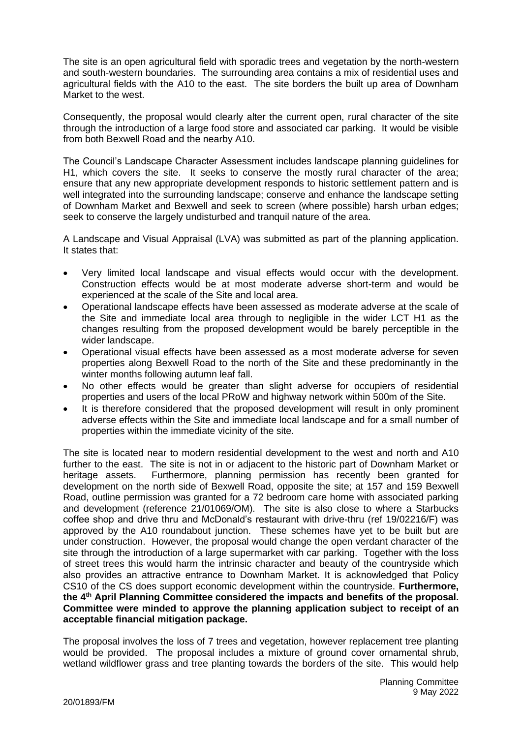The site is an open agricultural field with sporadic trees and vegetation by the north-western and south-western boundaries. The surrounding area contains a mix of residential uses and agricultural fields with the A10 to the east. The site borders the built up area of Downham Market to the west.

Consequently, the proposal would clearly alter the current open, rural character of the site through the introduction of a large food store and associated car parking. It would be visible from both Bexwell Road and the nearby A10.

The Council's Landscape Character Assessment includes landscape planning guidelines for H1, which covers the site. It seeks to conserve the mostly rural character of the area; ensure that any new appropriate development responds to historic settlement pattern and is well integrated into the surrounding landscape; conserve and enhance the landscape setting of Downham Market and Bexwell and seek to screen (where possible) harsh urban edges; seek to conserve the largely undisturbed and tranquil nature of the area.

A Landscape and Visual Appraisal (LVA) was submitted as part of the planning application. It states that:

- Very limited local landscape and visual effects would occur with the development. Construction effects would be at most moderate adverse short-term and would be experienced at the scale of the Site and local area.
- Operational landscape effects have been assessed as moderate adverse at the scale of the Site and immediate local area through to negligible in the wider LCT H1 as the changes resulting from the proposed development would be barely perceptible in the wider landscape.
- Operational visual effects have been assessed as a most moderate adverse for seven properties along Bexwell Road to the north of the Site and these predominantly in the winter months following autumn leaf fall.
- No other effects would be greater than slight adverse for occupiers of residential properties and users of the local PRoW and highway network within 500m of the Site.
- It is therefore considered that the proposed development will result in only prominent adverse effects within the Site and immediate local landscape and for a small number of properties within the immediate vicinity of the site.

The site is located near to modern residential development to the west and north and A10 further to the east. The site is not in or adjacent to the historic part of Downham Market or heritage assets. Furthermore, planning permission has recently been granted for development on the north side of Bexwell Road, opposite the site; at 157 and 159 Bexwell Road, outline permission was granted for a 72 bedroom care home with associated parking and development (reference 21/01069/OM). The site is also close to where a Starbucks coffee shop and drive thru and McDonald's restaurant with drive-thru (ref 19/02216/F) was approved by the A10 roundabout junction. These schemes have yet to be built but are under construction. However, the proposal would change the open verdant character of the site through the introduction of a large supermarket with car parking. Together with the loss of street trees this would harm the intrinsic character and beauty of the countryside which also provides an attractive entrance to Downham Market. It is acknowledged that Policy CS10 of the CS does support economic development within the countryside. **Furthermore, the 4th April Planning Committee considered the impacts and benefits of the proposal. Committee were minded to approve the planning application subject to receipt of an acceptable financial mitigation package.**

The proposal involves the loss of 7 trees and vegetation, however replacement tree planting would be provided. The proposal includes a mixture of ground cover ornamental shrub, wetland wildflower grass and tree planting towards the borders of the site. This would help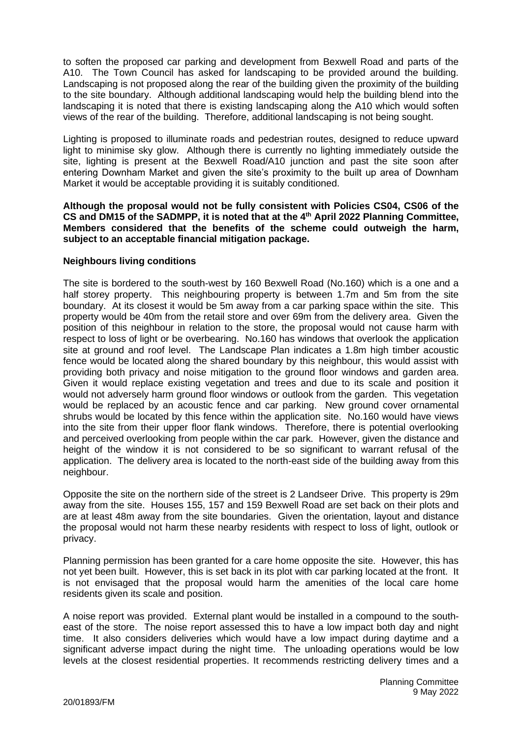to soften the proposed car parking and development from Bexwell Road and parts of the A10. The Town Council has asked for landscaping to be provided around the building. Landscaping is not proposed along the rear of the building given the proximity of the building to the site boundary. Although additional landscaping would help the building blend into the landscaping it is noted that there is existing landscaping along the A10 which would soften views of the rear of the building. Therefore, additional landscaping is not being sought.

Lighting is proposed to illuminate roads and pedestrian routes, designed to reduce upward light to minimise sky glow. Although there is currently no lighting immediately outside the site, lighting is present at the Bexwell Road/A10 junction and past the site soon after entering Downham Market and given the site's proximity to the built up area of Downham Market it would be acceptable providing it is suitably conditioned.

**Although the proposal would not be fully consistent with Policies CS04, CS06 of the CS and DM15 of the SADMPP, it is noted that at the 4th April 2022 Planning Committee, Members considered that the benefits of the scheme could outweigh the harm, subject to an acceptable financial mitigation package.**

## **Neighbours living conditions**

The site is bordered to the south-west by 160 Bexwell Road (No.160) which is a one and a half storey property. This neighbouring property is between 1.7m and 5m from the site boundary. At its closest it would be 5m away from a car parking space within the site. This property would be 40m from the retail store and over 69m from the delivery area. Given the position of this neighbour in relation to the store, the proposal would not cause harm with respect to loss of light or be overbearing. No.160 has windows that overlook the application site at ground and roof level. The Landscape Plan indicates a 1.8m high timber acoustic fence would be located along the shared boundary by this neighbour, this would assist with providing both privacy and noise mitigation to the ground floor windows and garden area. Given it would replace existing vegetation and trees and due to its scale and position it would not adversely harm ground floor windows or outlook from the garden. This vegetation would be replaced by an acoustic fence and car parking. New ground cover ornamental shrubs would be located by this fence within the application site. No.160 would have views into the site from their upper floor flank windows. Therefore, there is potential overlooking and perceived overlooking from people within the car park. However, given the distance and height of the window it is not considered to be so significant to warrant refusal of the application. The delivery area is located to the north-east side of the building away from this neighbour.

Opposite the site on the northern side of the street is 2 Landseer Drive. This property is 29m away from the site. Houses 155, 157 and 159 Bexwell Road are set back on their plots and are at least 48m away from the site boundaries. Given the orientation, layout and distance the proposal would not harm these nearby residents with respect to loss of light, outlook or privacy.

Planning permission has been granted for a care home opposite the site. However, this has not yet been built. However, this is set back in its plot with car parking located at the front. It is not envisaged that the proposal would harm the amenities of the local care home residents given its scale and position.

A noise report was provided. External plant would be installed in a compound to the southeast of the store. The noise report assessed this to have a low impact both day and night time. It also considers deliveries which would have a low impact during daytime and a significant adverse impact during the night time. The unloading operations would be low levels at the closest residential properties. It recommends restricting delivery times and a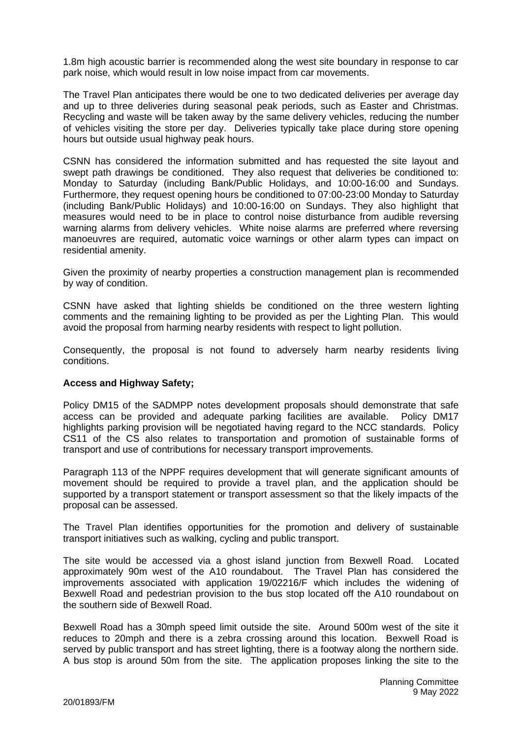1.8m high acoustic barrier is recommended along the west site boundary in response to car park noise, which would result in low noise impact from car movements.

The Travel Plan anticipates there would be one to two dedicated deliveries per average day and up to three deliveries during seasonal peak periods, such as Easter and Christmas. Recycling and waste will be taken away by the same delivery vehicles, reducing the number of vehicles visiting the store per day. Deliveries typically take place during store opening hours but outside usual highway peak hours.

CSNN has considered the information submitted and has requested the site layout and swept path drawings be conditioned. They also request that deliveries be conditioned to: Monday to Saturday (including Bank/Public Holidays, and 10:00-16:00 and Sundays. Furthermore, they request opening hours be conditioned to 07:00-23:00 Monday to Saturday (including Bank/Public Holidays) and 10:00-16:00 on Sundays. They also highlight that measures would need to be in place to control noise disturbance from audible reversing warning alarms from delivery vehicles. White noise alarms are preferred where reversing manoeuvres are required, automatic voice warnings or other alarm types can impact on residential amenity.

Given the proximity of nearby properties a construction management plan is recommended by way of condition.

CSNN have asked that lighting shields be conditioned on the three western lighting comments and the remaining lighting to be provided as per the Lighting Plan. This would avoid the proposal from harming nearby residents with respect to light pollution.

Consequently, the proposal is not found to adversely harm nearby residents living conditions.

#### **Access and Highway Safety;**

Policy DM15 of the SADMPP notes development proposals should demonstrate that safe access can be provided and adequate parking facilities are available. Policy DM17 highlights parking provision will be negotiated having regard to the NCC standards. Policy CS11 of the CS also relates to transportation and promotion of sustainable forms of transport and use of contributions for necessary transport improvements.

Paragraph 113 of the NPPF requires development that will generate significant amounts of movement should be required to provide a travel plan, and the application should be supported by a transport statement or transport assessment so that the likely impacts of the proposal can be assessed.

The Travel Plan identifies opportunities for the promotion and delivery of sustainable transport initiatives such as walking, cycling and public transport.

The site would be accessed via a ghost island junction from Bexwell Road. Located approximately 90m west of the A10 roundabout. The Travel Plan has considered the improvements associated with application 19/02216/F which includes the widening of Bexwell Road and pedestrian provision to the bus stop located off the A10 roundabout on the southern side of Bexwell Road.

Bexwell Road has a 30mph speed limit outside the site. Around 500m west of the site it reduces to 20mph and there is a zebra crossing around this location. Bexwell Road is served by public transport and has street lighting, there is a footway along the northern side. A bus stop is around 50m from the site. The application proposes linking the site to the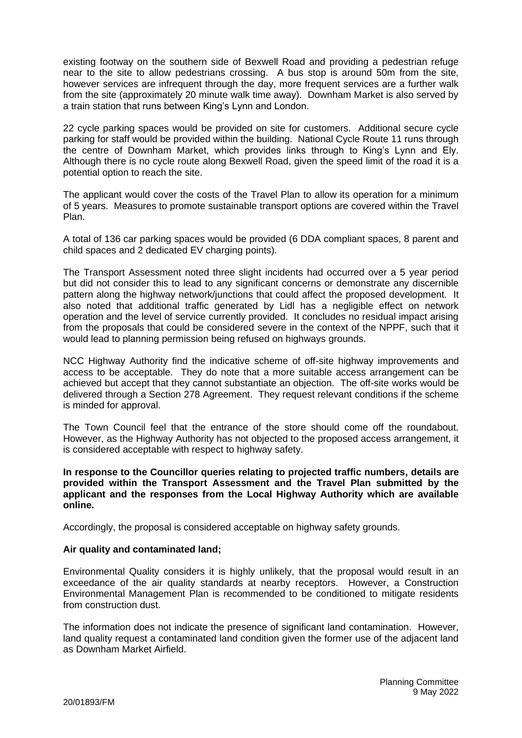existing footway on the southern side of Bexwell Road and providing a pedestrian refuge near to the site to allow pedestrians crossing. A bus stop is around 50m from the site, however services are infrequent through the day, more frequent services are a further walk from the site (approximately 20 minute walk time away). Downham Market is also served by a train station that runs between King's Lynn and London.

22 cycle parking spaces would be provided on site for customers. Additional secure cycle parking for staff would be provided within the building. National Cycle Route 11 runs through the centre of Downham Market, which provides links through to King's Lynn and Ely. Although there is no cycle route along Bexwell Road, given the speed limit of the road it is a potential option to reach the site.

The applicant would cover the costs of the Travel Plan to allow its operation for a minimum of 5 years. Measures to promote sustainable transport options are covered within the Travel Plan.

A total of 136 car parking spaces would be provided (6 DDA compliant spaces, 8 parent and child spaces and 2 dedicated EV charging points).

The Transport Assessment noted three slight incidents had occurred over a 5 year period but did not consider this to lead to any significant concerns or demonstrate any discernible pattern along the highway network/junctions that could affect the proposed development. It also noted that additional traffic generated by Lidl has a negligible effect on network operation and the level of service currently provided. It concludes no residual impact arising from the proposals that could be considered severe in the context of the NPPF, such that it would lead to planning permission being refused on highways grounds.

NCC Highway Authority find the indicative scheme of off-site highway improvements and access to be acceptable. They do note that a more suitable access arrangement can be achieved but accept that they cannot substantiate an objection. The off-site works would be delivered through a Section 278 Agreement. They request relevant conditions if the scheme is minded for approval.

The Town Council feel that the entrance of the store should come off the roundabout. However, as the Highway Authority has not objected to the proposed access arrangement, it is considered acceptable with respect to highway safety.

**In response to the Councillor queries relating to projected traffic numbers, details are provided within the Transport Assessment and the Travel Plan submitted by the applicant and the responses from the Local Highway Authority which are available online.**

Accordingly, the proposal is considered acceptable on highway safety grounds.

#### **Air quality and contaminated land;**

Environmental Quality considers it is highly unlikely, that the proposal would result in an exceedance of the air quality standards at nearby receptors. However, a Construction Environmental Management Plan is recommended to be conditioned to mitigate residents from construction dust.

The information does not indicate the presence of significant land contamination. However, land quality request a contaminated land condition given the former use of the adjacent land as Downham Market Airfield.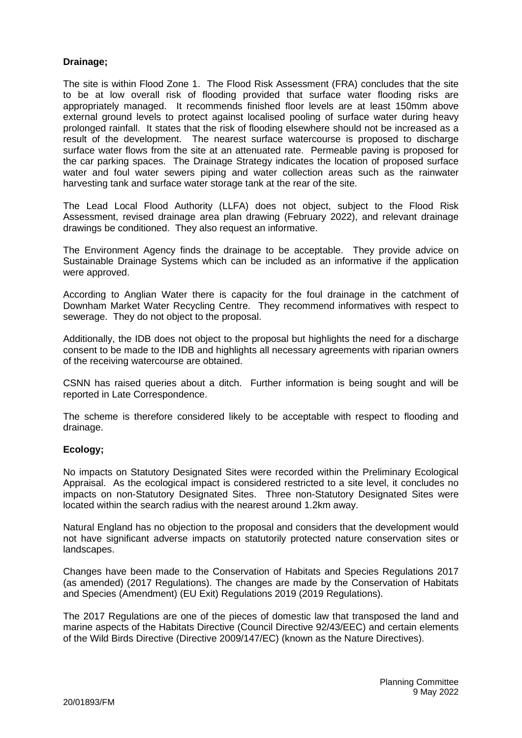## **Drainage;**

The site is within Flood Zone 1. The Flood Risk Assessment (FRA) concludes that the site to be at low overall risk of flooding provided that surface water flooding risks are appropriately managed. It recommends finished floor levels are at least 150mm above external ground levels to protect against localised pooling of surface water during heavy prolonged rainfall. It states that the risk of flooding elsewhere should not be increased as a result of the development. The nearest surface watercourse is proposed to discharge surface water flows from the site at an attenuated rate. Permeable paving is proposed for the car parking spaces. The Drainage Strategy indicates the location of proposed surface water and foul water sewers piping and water collection areas such as the rainwater harvesting tank and surface water storage tank at the rear of the site.

The Lead Local Flood Authority (LLFA) does not object, subject to the Flood Risk Assessment, revised drainage area plan drawing (February 2022), and relevant drainage drawings be conditioned. They also request an informative.

The Environment Agency finds the drainage to be acceptable. They provide advice on Sustainable Drainage Systems which can be included as an informative if the application were approved.

According to Anglian Water there is capacity for the foul drainage in the catchment of Downham Market Water Recycling Centre. They recommend informatives with respect to sewerage. They do not object to the proposal.

Additionally, the IDB does not object to the proposal but highlights the need for a discharge consent to be made to the IDB and highlights all necessary agreements with riparian owners of the receiving watercourse are obtained.

CSNN has raised queries about a ditch. Further information is being sought and will be reported in Late Correspondence.

The scheme is therefore considered likely to be acceptable with respect to flooding and drainage.

## **Ecology;**

No impacts on Statutory Designated Sites were recorded within the Preliminary Ecological Appraisal. As the ecological impact is considered restricted to a site level, it concludes no impacts on non-Statutory Designated Sites. Three non-Statutory Designated Sites were located within the search radius with the nearest around 1.2km away.

Natural England has no objection to the proposal and considers that the development would not have significant adverse impacts on statutorily protected nature conservation sites or landscapes.

Changes have been made to the Conservation of Habitats and Species Regulations 2017 (as amended) (2017 Regulations). The changes are made by the Conservation of Habitats and Species (Amendment) (EU Exit) Regulations 2019 (2019 Regulations).

The 2017 Regulations are one of the pieces of domestic law that transposed the land and marine aspects of the Habitats Directive (Council Directive 92/43/EEC) and certain elements of the Wild Birds Directive (Directive 2009/147/EC) (known as the Nature Directives).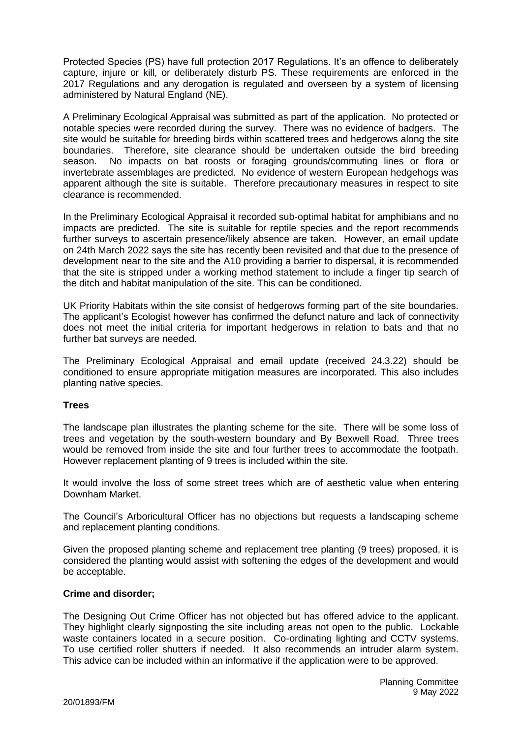Protected Species (PS) have full protection 2017 Regulations. It's an offence to deliberately capture, injure or kill, or deliberately disturb PS. These requirements are enforced in the 2017 Regulations and any derogation is regulated and overseen by a system of licensing administered by Natural England (NE).

A Preliminary Ecological Appraisal was submitted as part of the application. No protected or notable species were recorded during the survey. There was no evidence of badgers. The site would be suitable for breeding birds within scattered trees and hedgerows along the site boundaries. Therefore, site clearance should be undertaken outside the bird breeding season. No impacts on bat roosts or foraging grounds/commuting lines or flora or invertebrate assemblages are predicted. No evidence of western European hedgehogs was apparent although the site is suitable. Therefore precautionary measures in respect to site clearance is recommended.

In the Preliminary Ecological Appraisal it recorded sub-optimal habitat for amphibians and no impacts are predicted. The site is suitable for reptile species and the report recommends further surveys to ascertain presence/likely absence are taken. However, an email update on 24th March 2022 says the site has recently been revisited and that due to the presence of development near to the site and the A10 providing a barrier to dispersal, it is recommended that the site is stripped under a working method statement to include a finger tip search of the ditch and habitat manipulation of the site. This can be conditioned.

UK Priority Habitats within the site consist of hedgerows forming part of the site boundaries. The applicant's Ecologist however has confirmed the defunct nature and lack of connectivity does not meet the initial criteria for important hedgerows in relation to bats and that no further bat surveys are needed.

The Preliminary Ecological Appraisal and email update (received 24.3.22) should be conditioned to ensure appropriate mitigation measures are incorporated. This also includes planting native species.

## **Trees**

The landscape plan illustrates the planting scheme for the site. There will be some loss of trees and vegetation by the south-western boundary and By Bexwell Road. Three trees would be removed from inside the site and four further trees to accommodate the footpath. However replacement planting of 9 trees is included within the site.

It would involve the loss of some street trees which are of aesthetic value when entering Downham Market.

The Council's Arboricultural Officer has no objections but requests a landscaping scheme and replacement planting conditions.

Given the proposed planting scheme and replacement tree planting (9 trees) proposed, it is considered the planting would assist with softening the edges of the development and would be acceptable.

## **Crime and disorder;**

The Designing Out Crime Officer has not objected but has offered advice to the applicant. They highlight clearly signposting the site including areas not open to the public. Lockable waste containers located in a secure position. Co-ordinating lighting and CCTV systems. To use certified roller shutters if needed. It also recommends an intruder alarm system. This advice can be included within an informative if the application were to be approved.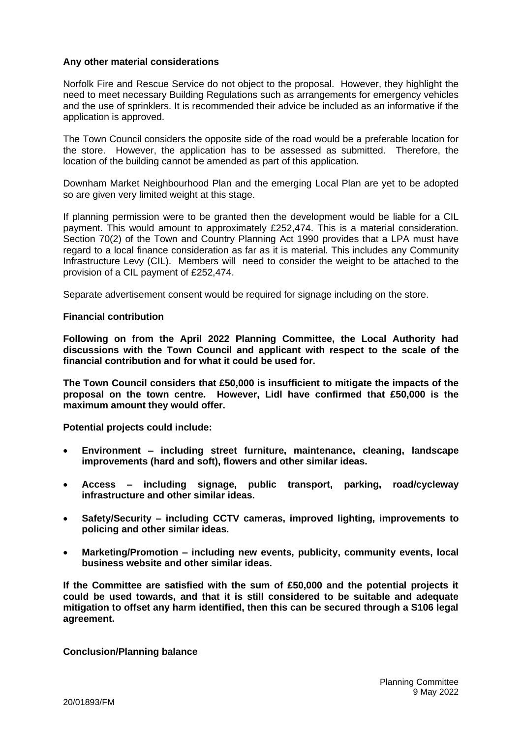### **Any other material considerations**

Norfolk Fire and Rescue Service do not object to the proposal. However, they highlight the need to meet necessary Building Regulations such as arrangements for emergency vehicles and the use of sprinklers. It is recommended their advice be included as an informative if the application is approved.

The Town Council considers the opposite side of the road would be a preferable location for the store. However, the application has to be assessed as submitted. Therefore, the location of the building cannot be amended as part of this application.

Downham Market Neighbourhood Plan and the emerging Local Plan are yet to be adopted so are given very limited weight at this stage.

If planning permission were to be granted then the development would be liable for a CIL payment. This would amount to approximately £252,474. This is a material consideration. Section 70(2) of the Town and Country Planning Act 1990 provides that a LPA must have regard to a local finance consideration as far as it is material. This includes any Community Infrastructure Levy (CIL). Members will need to consider the weight to be attached to the provision of a CIL payment of £252,474.

Separate advertisement consent would be required for signage including on the store.

#### **Financial contribution**

**Following on from the April 2022 Planning Committee, the Local Authority had discussions with the Town Council and applicant with respect to the scale of the financial contribution and for what it could be used for.** 

**The Town Council considers that £50,000 is insufficient to mitigate the impacts of the proposal on the town centre. However, Lidl have confirmed that £50,000 is the maximum amount they would offer.** 

**Potential projects could include:**

- **Environment – including street furniture, maintenance, cleaning, landscape improvements (hard and soft), flowers and other similar ideas.**
- **Access – including signage, public transport, parking, road/cycleway infrastructure and other similar ideas.**
- **Safety/Security – including CCTV cameras, improved lighting, improvements to policing and other similar ideas.**
- **Marketing/Promotion – including new events, publicity, community events, local business website and other similar ideas.**

**If the Committee are satisfied with the sum of £50,000 and the potential projects it could be used towards, and that it is still considered to be suitable and adequate mitigation to offset any harm identified, then this can be secured through a S106 legal agreement.**

**Conclusion/Planning balance**